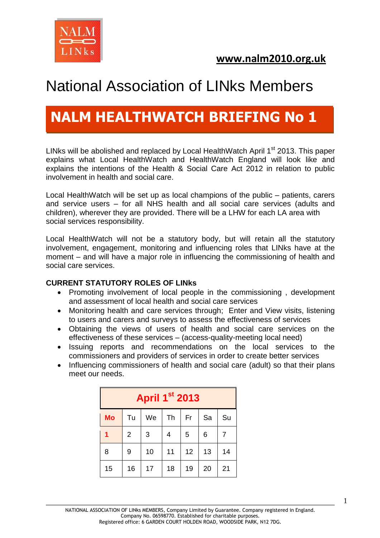

# **NALM HEALTHWATCH BRIEFING No 1**

LINks will be abolished and replaced by Local HealthWatch April 1<sup>st</sup> 2013. This paper explains what Local HealthWatch and HealthWatch England will look like and explains the intentions of the Health & Social Care Act 2012 in relation to public involvement in health and social care.

Local HealthWatch will be set up as local champions of the public – patients, carers and service users – for all NHS health and all social care services (adults and children), wherever they are provided. There will be a LHW for each LA area with social services responsibility.

Local HealthWatch will not be a statutory body, but will retain all the statutory involvement, engagement, monitoring and influencing roles that LINks have at the moment – and will have a major role in influencing the commissioning of health and social care services.

#### **CURRENT STATUTORY ROLES OF LINks**

- Promoting involvement of local people in the commissioning, development and assessment of local health and social care services
- Monitoring health and care services through; Enter and View visits, listening to users and carers and surveys to assess the effectiveness of services
- Obtaining the views of users of health and social care services on the effectiveness of these services – (access-quality-meeting local need)
- Issuing reports and recommendations on the local services to the commissioners and providers of services in order to create better services
- Influencing commissioners of health and social care (adult) so that their plans meet our needs.

| <b>April 1st 2013</b> |                |    |    |    |    |    |
|-----------------------|----------------|----|----|----|----|----|
| <b>Mo</b>             | Tu             | We | Th | Fr | Sa | Su |
| 1                     | $\overline{2}$ | 3  | 4  | 5  | 6  |    |
| 8                     | 9              | 10 | 11 | 12 | 13 | 14 |
| 15                    | 16             | 17 | 18 | 19 | 20 | 21 |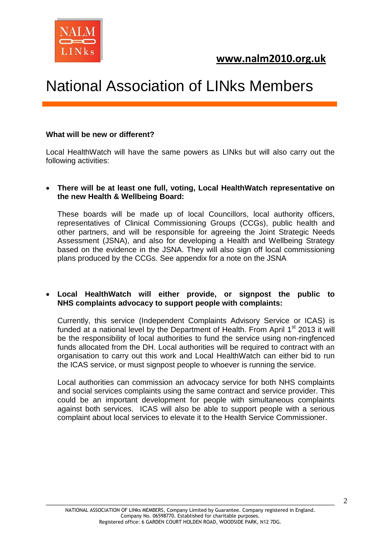

#### **What will be new or different?**

Local HealthWatch will have the same powers as LINks but will also carry out the following activities:

#### **There will be at least one full, voting, Local HealthWatch representative on the new Health & Wellbeing Board:**

These boards will be made up of local Councillors, local authority officers, representatives of Clinical Commissioning Groups (CCGs), public health and other partners, and will be responsible for agreeing the Joint Strategic Needs Assessment (JSNA), and also for developing a Health and Wellbeing Strategy based on the evidence in the JSNA. They will also sign off local commissioning plans produced by the CCGs. See appendix for a note on the JSNA

#### **Local HealthWatch will either provide, or signpost the public to NHS complaints advocacy to support people with complaints:**

Currently, this service (Independent Complaints Advisory Service or ICAS) is funded at a national level by the Department of Health. From April  $1<sup>st</sup>$  2013 it will be the responsibility of local authorities to fund the service using non-ringfenced funds allocated from the DH. Local authorities will be required to contract with an organisation to carry out this work and Local HealthWatch can either bid to run the ICAS service, or must signpost people to whoever is running the service.

Local authorities can commission an advocacy service for both NHS complaints and social services complaints using the same contract and service provider. This could be an important development for people with simultaneous complaints against both services. ICAS will also be able to support people with a serious complaint about local services to elevate it to the Health Service Commissioner.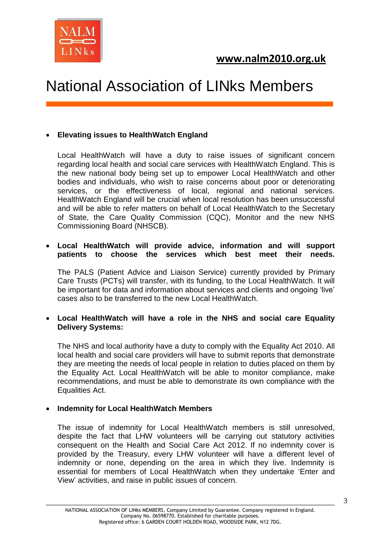

#### **Elevating issues to HealthWatch England**

Local HealthWatch will have a duty to raise issues of significant concern regarding local health and social care services with HealthWatch England. This is the new national body being set up to empower Local HealthWatch and other bodies and individuals, who wish to raise concerns about poor or deteriorating services, or the effectiveness of local, regional and national services. HealthWatch England will be crucial when local resolution has been unsuccessful and will be able to refer matters on behalf of Local HealthWatch to the Secretary of State, the Care Quality Commission (CQC), Monitor and the new NHS Commissioning Board (NHSCB).

#### **Local HealthWatch will provide advice, information and will support patients to choose the services which best meet their needs.**

The PALS (Patient Advice and Liaison Service) currently provided by Primary Care Trusts (PCTs) will transfer, with its funding, to the Local HealthWatch. It will be important for data and information about services and clients and ongoing 'live' cases also to be transferred to the new Local HealthWatch.

#### **Local HealthWatch will have a role in the NHS and social care Equality Delivery Systems:**

The NHS and local authority have a duty to comply with the Equality Act 2010. All local health and social care providers will have to submit reports that demonstrate they are meeting the needs of local people in relation to duties placed on them by the Equality Act. Local HealthWatch will be able to monitor compliance, make recommendations, and must be able to demonstrate its own compliance with the Equalities Act.

#### **Indemnity for Local HealthWatch Members**

The issue of indemnity for Local HealthWatch members is still unresolved, despite the fact that LHW volunteers will be carrying out statutory activities consequent on the Health and Social Care Act 2012. If no indemnity cover is provided by the Treasury, every LHW volunteer will have a different level of indemnity or none, depending on the area in which they live. Indemnity is essential for members of Local HealthWatch when they undertake 'Enter and View' activities, and raise in public issues of concern.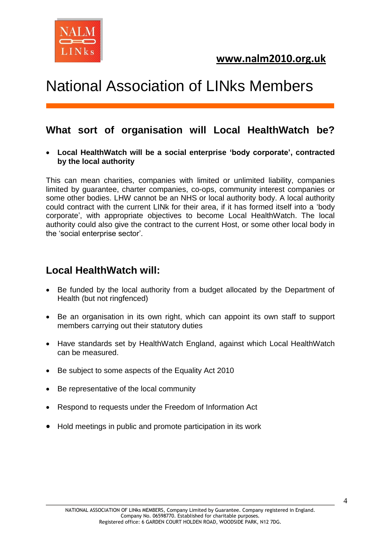

## **What sort of organisation will Local HealthWatch be?**

 **Local HealthWatch will be a social enterprise 'body corporate', contracted by the local authority**

This can mean charities, companies with limited or unlimited liability, companies limited by guarantee, charter companies, co-ops, community interest companies or some other bodies. LHW cannot be an NHS or local authority body. A local authority could contract with the current LINk for their area, if it has formed itself into a 'body corporate', with appropriate objectives to become Local HealthWatch. The local authority could also give the contract to the current Host, or some other local body in the 'social enterprise sector'.

## **Local HealthWatch will:**

- Be funded by the local authority from a budget allocated by the Department of Health (but not ringfenced)
- Be an organisation in its own right, which can appoint its own staff to support members carrying out their statutory duties
- Have standards set by HealthWatch England, against which Local HealthWatch can be measured.
- Be subject to some aspects of the Equality Act 2010
- Be representative of the local community
- Respond to requests under the Freedom of Information Act
- Hold meetings in public and promote participation in its work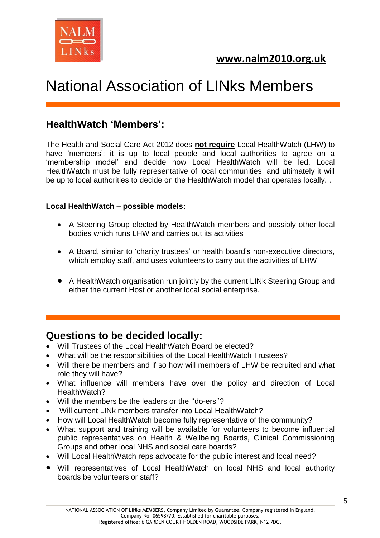

## **HealthWatch 'Members':**

The Health and Social Care Act 2012 does **not require** Local HealthWatch (LHW) to have 'members'; it is up to local people and local authorities to agree on a 'membership model' and decide how Local HealthWatch will be led. Local HealthWatch must be fully representative of local communities, and ultimately it will be up to local authorities to decide on the HealthWatch model that operates locally. .

#### **Local HealthWatch – possible models:**

- A Steering Group elected by HealthWatch members and possibly other local bodies which runs LHW and carries out its activities
- A Board, similar to 'charity trustees' or health board's non-executive directors, which employ staff, and uses volunteers to carry out the activities of LHW
- A HealthWatch organisation run jointly by the current LINk Steering Group and either the current Host or another local social enterprise.

### **Questions to be decided locally:**

- Will Trustees of the Local HealthWatch Board be elected?
- What will be the responsibilities of the Local HealthWatch Trustees?
- Will there be members and if so how will members of LHW be recruited and what role they will have?
- What influence will members have over the policy and direction of Local HealthWatch?
- Will the members be the leaders or the ''do-ers''?
- Will current LINk members transfer into Local HealthWatch?
- How will Local HealthWatch become fully representative of the community?
- What support and training will be available for volunteers to become influential public representatives on Health & Wellbeing Boards, Clinical Commissioning Groups and other local NHS and social care boards?
- Will Local HealthWatch reps advocate for the public interest and local need?
- Will representatives of Local HealthWatch on local NHS and local authority boards be volunteers or staff?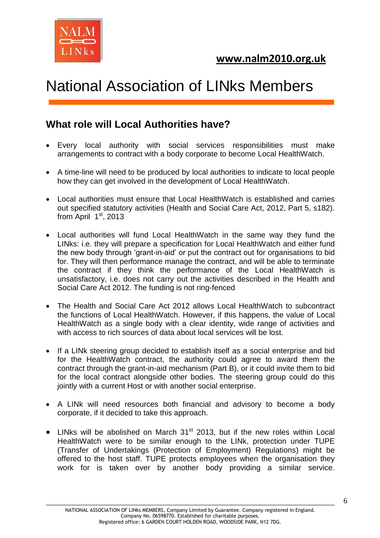

## **What role will Local Authorities have?**

- Every local authority with social services responsibilities must make arrangements to contract with a body corporate to become Local HealthWatch.
- A time-line will need to be produced by local authorities to indicate to local people how they can get involved in the development of Local HealthWatch.
- Local authorities must ensure that Local HealthWatch is established and carries out specified statutory activities (Health and Social Care Act, 2012, Part 5, s182). from April  $1<sup>st</sup>$ , 2013
- Local authorities will fund Local HealthWatch in the same way they fund the LINks: i.e. they will prepare a specification for Local HealthWatch and either fund the new body through 'grant-in-aid' or put the contract out for organisations to bid for. They will then performance manage the contract, and will be able to terminate the contract if they think the performance of the Local HealthWatch is unsatisfactory, i.e. does not carry out the activities described in the Health and Social Care Act 2012. The funding is not ring-fenced
- The Health and Social Care Act 2012 allows Local HealthWatch to subcontract the functions of Local HealthWatch. However, if this happens, the value of Local HealthWatch as a single body with a clear identity, wide range of activities and with access to rich sources of data about local services will be lost.
- If a LINk steering group decided to establish itself as a social enterprise and bid for the HealthWatch contract, the authority could agree to award them the contract through the grant-in-aid mechanism (Part B), or it could invite them to bid for the local contract alongside other bodies. The steering group could do this jointly with a current Host or with another social enterprise.
- A LINk will need resources both financial and advisory to become a body corporate, if it decided to take this approach.
- $\bullet$  LINks will be abolished on March 31<sup>st</sup> 2013, but if the new roles within Local HealthWatch were to be similar enough to the LINk, protection under TUPE (Transfer of Undertakings (Protection of Employment) Regulations) might be offered to the host staff. TUPE protects employees when the organisation they work for is taken over by another body providing a similar service.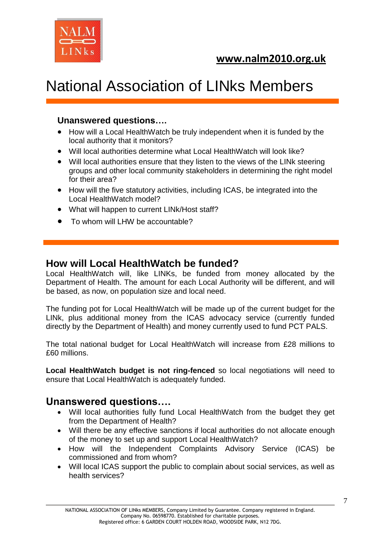



#### **Unanswered questions….**

- How will a Local HealthWatch be truly independent when it is funded by the local authority that it monitors?
- Will local authorities determine what Local HealthWatch will look like?
- Will local authorities ensure that they listen to the views of the LINk steering groups and other local community stakeholders in determining the right model for their area?
- How will the five statutory activities, including ICAS, be integrated into the Local HealthWatch model?
- What will happen to current LINk/Host staff?
- To whom will LHW be accountable?

#### **How will Local HealthWatch be funded?**

Local HealthWatch will, like LINKs, be funded from money allocated by the Department of Health. The amount for each Local Authority will be different, and will be based, as now, on population size and local need.

The funding pot for Local HealthWatch will be made up of the current budget for the LINk, plus additional money from the ICAS advocacy service (currently funded directly by the Department of Health) and money currently used to fund PCT PALS.

The total national budget for Local HealthWatch will increase from £28 millions to £60 millions.

**Local HealthWatch budget is not ring-fenced** so local negotiations will need to ensure that Local HealthWatch is adequately funded.

### **Unanswered questions….**

- Will local authorities fully fund Local HealthWatch from the budget they get from the Department of Health?
- Will there be any effective sanctions if local authorities do not allocate enough of the money to set up and support Local HealthWatch?
- How will the Independent Complaints Advisory Service (ICAS) be commissioned and from whom?
- Will local ICAS support the public to complain about social services, as well as health services?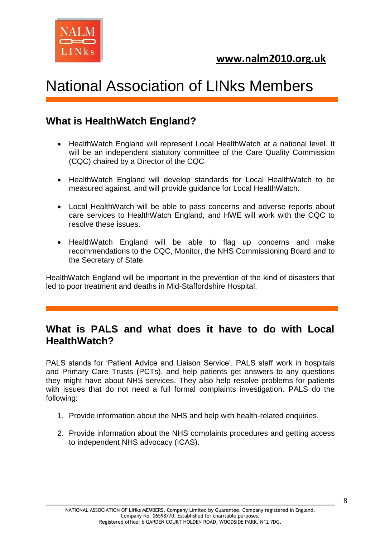

## **What is HealthWatch England?**

- HealthWatch England will represent Local HealthWatch at a national level. It will be an independent statutory committee of the Care Quality Commission (CQC) chaired by a Director of the CQC
- HealthWatch England will develop standards for Local HealthWatch to be measured against, and will provide guidance for Local HealthWatch.
- Local HealthWatch will be able to pass concerns and adverse reports about care services to HealthWatch England, and HWE will work with the CQC to resolve these issues.
- HealthWatch England will be able to flag up concerns and make recommendations to the CQC, Monitor, the NHS Commissioning Board and to the Secretary of State.

HealthWatch England will be important in the prevention of the kind of disasters that led to poor treatment and deaths in Mid-Staffordshire Hospital.

## **What is PALS and what does it have to do with Local HealthWatch?**

PALS stands for 'Patient Advice and Liaison Service'. PALS staff work in hospitals and Primary Care Trusts (PCTs), and help patients get answers to any questions they might have about NHS services. They also help resolve problems for patients with issues that do not need a full formal complaints investigation. PALS do the following:

- 1. Provide information about the NHS and help with health-related enquiries.
- 2. Provide information about the NHS complaints procedures and getting access to independent NHS advocacy (ICAS).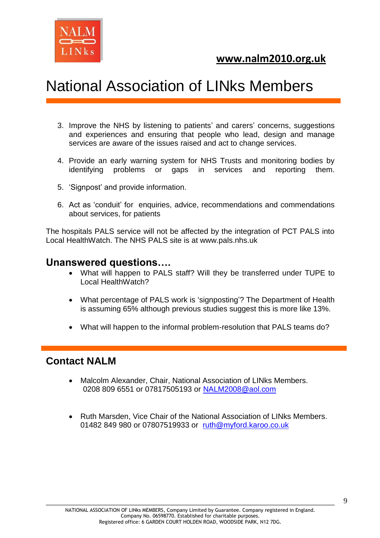



- 3. Improve the NHS by listening to patients' and carers' concerns, suggestions and experiences and ensuring that people who lead, design and manage services are aware of the issues raised and act to change services.
- 4. Provide an early warning system for NHS Trusts and monitoring bodies by identifying problems or gaps in services and reporting them.
- 5. 'Signpost' and provide information.
- 6. Act as 'conduit' for enquiries, advice, recommendations and commendations about services, for patients

The hospitals PALS service will not be affected by the integration of PCT PALS into Local HealthWatch. The NHS PALS site is at [www.pals.nhs.uk](http://www.pals.nhs.uk/)

#### **Unanswered questions….**

- What will happen to PALS staff? Will they be transferred under TUPE to Local HealthWatch?
- What percentage of PALS work is 'signposting'? The Department of Health is assuming 65% although previous studies suggest this is more like 13%.
- What will happen to the informal problem-resolution that PALS teams do?

### **Contact NALM**

- Malcolm Alexander, Chair, National Association of LINks Members. 0208 809 6551 or 07817505193 or [NALM2008@aol.com](mailto:NALM2008@aol.com)
- Ruth Marsden, Vice Chair of the National Association of LINks Members. 01482 849 980 or 07807519933 or [ruth@myford.karoo.co.uk](mailto:ruth@myford.karoo.co.uk)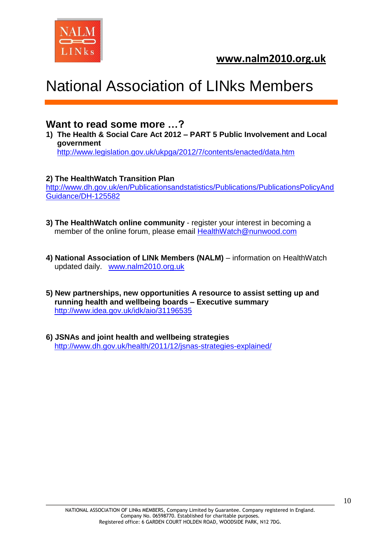

### **Want to read some more …?**

**1) The Health & Social Care Act 2012 – PART 5 Public Involvement and Local government** <http://www.legislation.gov.uk/ukpga/2012/7/contents/enacted/data.htm>

#### **2) The HealthWatch Transition Plan**

[http://www.dh.gov.uk/en/Publicationsandstatistics/Publications/PublicationsPolicyAnd](http://www.dh.gov.uk/en/Publicationsandstatistics/Publications/PublicationsPolicyAndGuidance/DH-125582) [Guidance/DH-125582](http://www.dh.gov.uk/en/Publicationsandstatistics/Publications/PublicationsPolicyAndGuidance/DH-125582)

- **3) The HealthWatch online community** register your interest in becoming a member of the online forum, please email **HealthWatch@nunwood.com**
- **4) National Association of LINk Members (NALM)** information on HealthWatch updated daily. [www.nalm2010.org.uk](http://www.nalm2010.org.uk/)
- **5) New partnerships, new opportunities A resource to assist setting up and running health and wellbeing boards – Executive summary** <http://www.idea.gov.uk/idk/aio/31196535>
- **6) JSNAs and joint health and wellbeing strategies** <http://www.dh.gov.uk/health/2011/12/jsnas-strategies-explained/>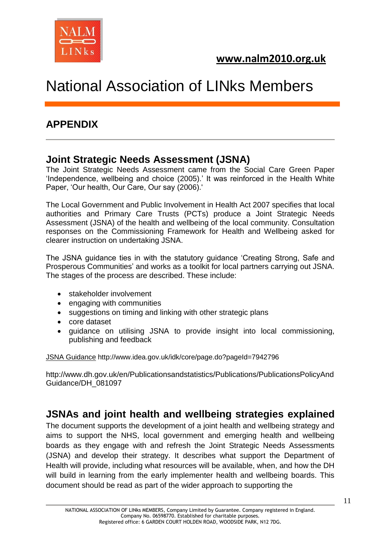

## **APPENDIX**

## **Joint Strategic Needs Assessment (JSNA)**

The Joint Strategic Needs Assessment came from the Social Care Green Paper 'Independence, wellbeing and choice (2005).' It was reinforced in the Health White Paper, 'Our health, Our Care, Our say (2006).'

The Local Government and Public Involvement in Health Act 2007 specifies that local authorities and Primary Care Trusts (PCTs) produce a Joint Strategic Needs Assessment (JSNA) of the health and wellbeing of the local community. Consultation responses on the Commissioning Framework for Health and Wellbeing asked for clearer instruction on undertaking JSNA.

The JSNA guidance ties in with the statutory guidance 'Creating Strong, Safe and Prosperous Communities' and works as a toolkit for local partners carrying out JSNA. The stages of the process are described. These include:

- stakeholder involvement
- engaging with communities
- suggestions on timing and linking with other strategic plans
- core dataset
- guidance on utilising JSNA to provide insight into local commissioning, publishing and feedback

[JSNA Guidance](http://www.idea.gov.uk/idk/core/external-link.do?redirectUrl=http%3A//www.dh.gov.uk/en/Publicationsandstatistics/Publications/PublicationsPolicyAndGuidance/DH_081097) http://www.idea.gov.uk/idk/core/page.do?pageId=7942796

http://www.dh.gov.uk/en/Publicationsandstatistics/Publications/PublicationsPolicyAnd Guidance/DH\_081097

### **JSNAs and joint health and wellbeing strategies explained**

The document supports the development of a joint health and wellbeing strategy and aims to support the NHS, local government and emerging health and wellbeing boards as they engage with and refresh the Joint Strategic Needs Assessments (JSNA) and develop their strategy. It describes what support the Department of Health will provide, including what resources will be available, when, and how the DH will build in learning from the early implementer health and wellbeing boards. This document should be read as part of the wider approach to supporting the